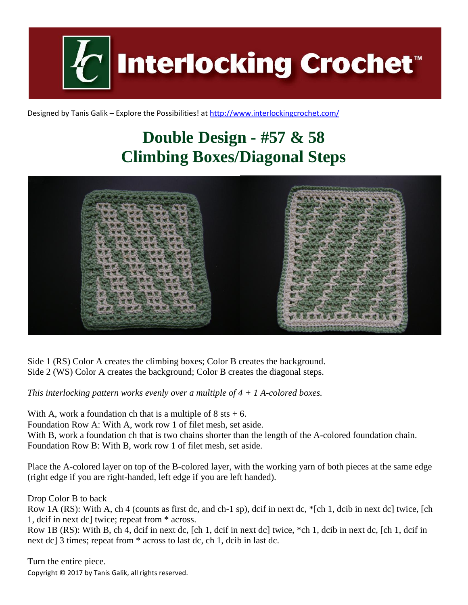**Interlocking Crochet** 

Designed by Tanis Galik – Explore the Possibilities! a[t http://www.interlockingcrochet.com/](http://www.interlockingcrochet.com/)

## **Double Design - #57 & 58 Climbing Boxes/Diagonal Steps**



Side 1 (RS) Color A creates the climbing boxes; Color B creates the background. Side 2 (WS) Color A creates the background; Color B creates the diagonal steps.

*This interlocking pattern works evenly over a multiple of 4 + 1 A-colored boxes.*

With A, work a foundation ch that is a multiple of  $8$  sts  $+ 6$ .

Foundation Row A: With A, work row 1 of filet mesh, set aside.

With B, work a foundation ch that is two chains shorter than the length of the A-colored foundation chain. Foundation Row B: With B, work row 1 of filet mesh, set aside.

Place the A-colored layer on top of the B-colored layer, with the working yarn of both pieces at the same edge (right edge if you are right-handed, left edge if you are left handed).

Drop Color B to back

Row 1A (RS): With A, ch 4 (counts as first dc, and ch-1 sp), dcif in next dc, \*[ch 1, dcib in next dc] twice, [ch 1, dcif in next dc] twice; repeat from \* across.

Row 1B (RS): With B, ch 4, dcif in next dc, [ch 1, dcif in next dc] twice, \*ch 1, dcib in next dc, [ch 1, dcif in next dc] 3 times; repeat from \* across to last dc, ch 1, dcib in last dc.

Copyright © 2017 by Tanis Galik, all rights reserved. Turn the entire piece.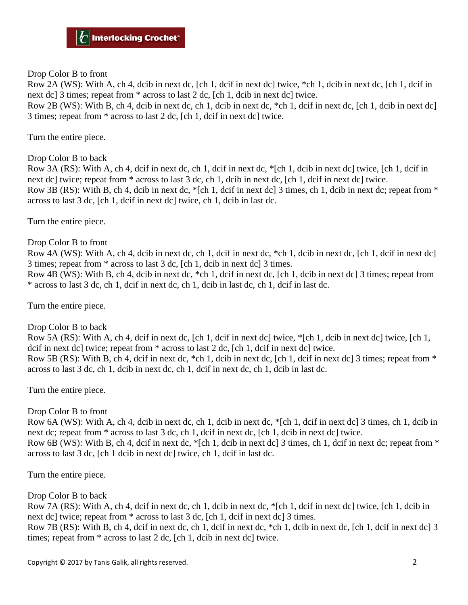Drop Color B to front

Row 2A (WS): With A, ch 4, dcib in next dc, [ch 1, dcif in next dc] twice, \*ch 1, dcib in next dc, [ch 1, dcif in next dc] 3 times; repeat from  $*$  across to last 2 dc, [ch 1, dcib in next dc] twice.

Row 2B (WS): With B, ch 4, dcib in next dc, ch 1, dcib in next dc, \*ch 1, dcif in next dc, [ch 1, dcib in next dc] 3 times; repeat from \* across to last 2 dc, [ch 1, dcif in next dc] twice.

Turn the entire piece.

Drop Color B to back

Row 3A (RS): With A, ch 4, dcif in next dc, ch 1, dcif in next dc, \*[ch 1, dcib in next dc] twice, [ch 1, dcif in next dc] twice; repeat from \* across to last 3 dc, ch 1, dcib in next dc, [ch 1, dcif in next dc] twice. Row 3B (RS): With B, ch 4, dcib in next dc,  $\epsilon$  [ch 1, dcif in next dc] 3 times, ch 1, dcib in next dc; repeat from  $\epsilon$ across to last 3 dc, [ch 1, dcif in next dc] twice, ch 1, dcib in last dc.

Turn the entire piece.

Drop Color B to front

Row 4A (WS): With A, ch 4, dcib in next dc, ch 1, dcif in next dc, \*ch 1, dcib in next dc, [ch 1, dcif in next dc] 3 times; repeat from \* across to last 3 dc, [ch 1, dcib in next dc] 3 times.

Row 4B (WS): With B, ch 4, dcib in next dc, \*ch 1, dcif in next dc, [ch 1, dcib in next dc] 3 times; repeat from \* across to last 3 dc, ch 1, dcif in next dc, ch 1, dcib in last dc, ch 1, dcif in last dc.

Turn the entire piece.

Drop Color B to back

Row 5A (RS): With A, ch 4, dcif in next dc, [ch 1, dcif in next dc] twice, \*[ch 1, dcib in next dc] twice, [ch 1, dcif in next dc] twice; repeat from \* across to last 2 dc, [ch 1, dcif in next dc] twice. Row 5B (RS): With B, ch 4, dcif in next dc, \*ch 1, dcib in next dc, [ch 1, dcif in next dc] 3 times; repeat from \* across to last 3 dc, ch 1, dcib in next dc, ch 1, dcif in next dc, ch 1, dcib in last dc.

Turn the entire piece.

## Drop Color B to front

Row 6A (WS): With A, ch 4, dcib in next dc, ch 1, dcib in next dc, \*[ch 1, dcif in next dc] 3 times, ch 1, dcib in next dc; repeat from  $*$  across to last 3 dc, ch 1, dcif in next dc, [ch 1, dcib in next dc] twice. Row 6B (WS): With B, ch 4, dcif in next dc, \*[ch 1, dcib in next dc] 3 times, ch 1, dcif in next dc; repeat from \* across to last 3 dc, [ch 1 dcib in next dc] twice, ch 1, dcif in last dc.

Turn the entire piece.

Drop Color B to back

Row 7A (RS): With A, ch 4, dcif in next dc, ch 1, dcib in next dc, \*[ch 1, dcif in next dc] twice, [ch 1, dcib in next dc] twice; repeat from  $*$  across to last 3 dc, [ch 1, dcif in next dc] 3 times.

Row 7B (RS): With B, ch 4, dcif in next dc, ch 1, dcif in next dc, \*ch 1, dcib in next dc, [ch 1, dcif in next dc] 3 times; repeat from \* across to last 2 dc, [ch 1, dcib in next dc] twice.